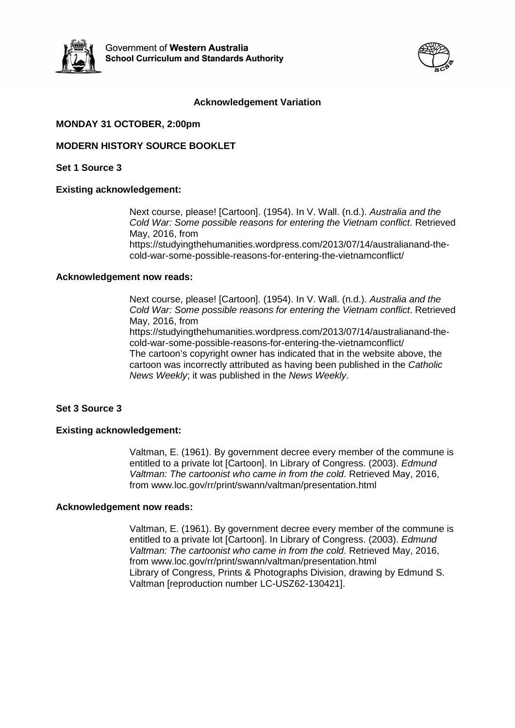



## **Acknowledgement Variation**

## **MONDAY 31 OCTOBER, 2:00pm**

## **MODERN HISTORY SOURCE BOOKLET**

**Set 1 Source 3**

### **Existing acknowledgement:**

Next course, please! [Cartoon]. (1954). In V. Wall. (n.d.). *Australia and the Cold War: Some possible reasons for entering the Vietnam conflict*. Retrieved May, 2016, from [https://studyingthehumanities.wordpress.com/2013/07/14/australianand-the](https://studyingthehumanities.wordpress.com/2013/07/14/australianand-the-cold-war-some-possible-reasons-for-entering-the-vietnamconflict/)[cold-war-some-possible-reasons-for-entering-the-vietnamconflict/](https://studyingthehumanities.wordpress.com/2013/07/14/australianand-the-cold-war-some-possible-reasons-for-entering-the-vietnamconflict/)

#### **Acknowledgement now reads:**

Next course, please! [Cartoon]. (1954). In V. Wall. (n.d.). *Australia and the Cold War: Some possible reasons for entering the Vietnam conflict*. Retrieved May, 2016, from

[https://studyingthehumanities.wordpress.com/2013/07/14/australianand-the](https://studyingthehumanities.wordpress.com/2013/07/14/australianand-the-cold-war-some-possible-reasons-for-entering-the-vietnamconflict/)[cold-war-some-possible-reasons-for-entering-the-vietnamconflict/](https://studyingthehumanities.wordpress.com/2013/07/14/australianand-the-cold-war-some-possible-reasons-for-entering-the-vietnamconflict/) The cartoon's copyright owner has indicated that in the website above, the cartoon was incorrectly attributed as having been published in the *Catholic News Weekly*; it was published in the *News Weekly*.

### **Set 3 Source 3**

### **Existing acknowledgement:**

Valtman, E. (1961). By government decree every member of the commune is entitled to a private lot [Cartoon]. In Library of Congress. (2003). *Edmund Valtman: The cartoonist who came in from the cold*. Retrieved May, 2016, from [www.loc.gov/rr/print/swann/valtman/presentation.html](http://www.loc.gov/rr/print/swann/valtman/presentation.html)

### **Acknowledgement now reads:**

Valtman, E. (1961). By government decree every member of the commune is entitled to a private lot [Cartoon]. In Library of Congress. (2003). *Edmund Valtman: The cartoonist who came in from the cold*. Retrieved May, 2016, from [www.loc.gov/rr/print/swann/valtman/presentation.html](http://www.loc.gov/rr/print/swann/valtman/presentation.html) Library of Congress, Prints & Photographs Division, drawing by Edmund S. Valtman [reproduction number LC-USZ62-130421].